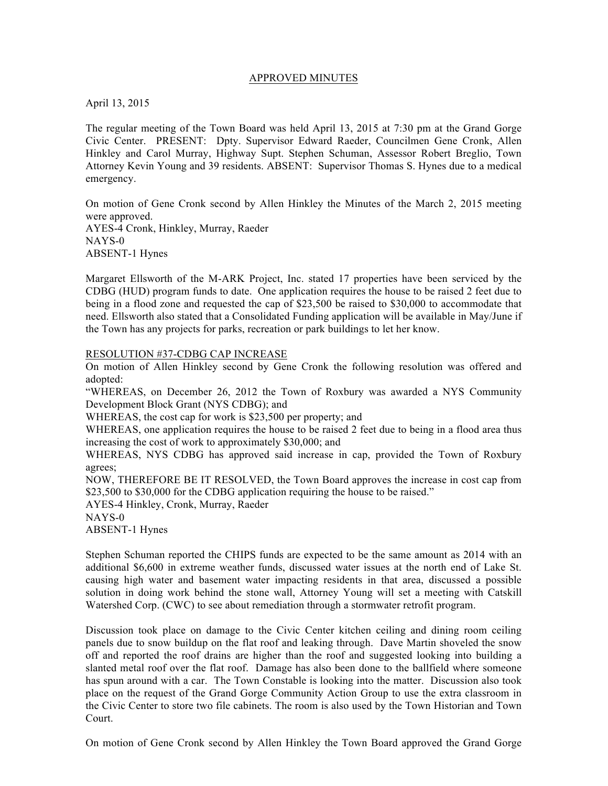#### APPROVED MINUTES

April 13, 2015

The regular meeting of the Town Board was held April 13, 2015 at 7:30 pm at the Grand Gorge Civic Center. PRESENT: Dpty. Supervisor Edward Raeder, Councilmen Gene Cronk, Allen Hinkley and Carol Murray, Highway Supt. Stephen Schuman, Assessor Robert Breglio, Town Attorney Kevin Young and 39 residents. ABSENT: Supervisor Thomas S. Hynes due to a medical emergency.

On motion of Gene Cronk second by Allen Hinkley the Minutes of the March 2, 2015 meeting were approved.

AYES-4 Cronk, Hinkley, Murray, Raeder NAYS-0 ABSENT-1 Hynes

Margaret Ellsworth of the M-ARK Project, Inc. stated 17 properties have been serviced by the CDBG (HUD) program funds to date. One application requires the house to be raised 2 feet due to being in a flood zone and requested the cap of \$23,500 be raised to \$30,000 to accommodate that need. Ellsworth also stated that a Consolidated Funding application will be available in May/June if the Town has any projects for parks, recreation or park buildings to let her know.

#### RESOLUTION #37-CDBG CAP INCREASE

On motion of Allen Hinkley second by Gene Cronk the following resolution was offered and adopted:

"WHEREAS, on December 26, 2012 the Town of Roxbury was awarded a NYS Community Development Block Grant (NYS CDBG); and

WHEREAS, the cost cap for work is \$23,500 per property; and

WHEREAS, one application requires the house to be raised 2 feet due to being in a flood area thus increasing the cost of work to approximately \$30,000; and

WHEREAS, NYS CDBG has approved said increase in cap, provided the Town of Roxbury agrees;

NOW, THEREFORE BE IT RESOLVED, the Town Board approves the increase in cost cap from \$23,500 to \$30,000 for the CDBG application requiring the house to be raised."

AYES-4 Hinkley, Cronk, Murray, Raeder

NAYS-0

ABSENT-1 Hynes

Stephen Schuman reported the CHIPS funds are expected to be the same amount as 2014 with an additional \$6,600 in extreme weather funds, discussed water issues at the north end of Lake St. causing high water and basement water impacting residents in that area, discussed a possible solution in doing work behind the stone wall, Attorney Young will set a meeting with Catskill Watershed Corp. (CWC) to see about remediation through a stormwater retrofit program.

Discussion took place on damage to the Civic Center kitchen ceiling and dining room ceiling panels due to snow buildup on the flat roof and leaking through. Dave Martin shoveled the snow off and reported the roof drains are higher than the roof and suggested looking into building a slanted metal roof over the flat roof. Damage has also been done to the ballfield where someone has spun around with a car. The Town Constable is looking into the matter. Discussion also took place on the request of the Grand Gorge Community Action Group to use the extra classroom in the Civic Center to store two file cabinets. The room is also used by the Town Historian and Town Court.

On motion of Gene Cronk second by Allen Hinkley the Town Board approved the Grand Gorge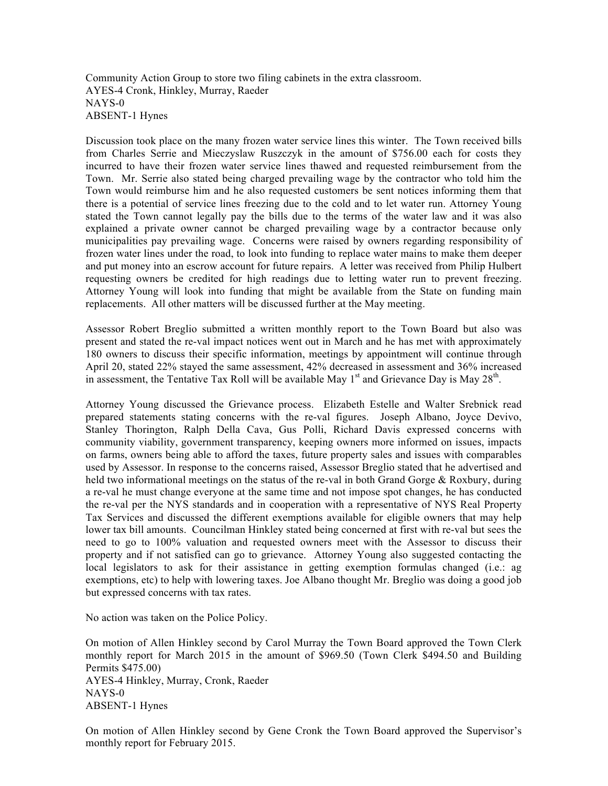Community Action Group to store two filing cabinets in the extra classroom. AYES-4 Cronk, Hinkley, Murray, Raeder NAYS-0 ABSENT-1 Hynes

Discussion took place on the many frozen water service lines this winter. The Town received bills from Charles Serrie and Mieczyslaw Ruszczyk in the amount of \$756.00 each for costs they incurred to have their frozen water service lines thawed and requested reimbursement from the Town. Mr. Serrie also stated being charged prevailing wage by the contractor who told him the Town would reimburse him and he also requested customers be sent notices informing them that there is a potential of service lines freezing due to the cold and to let water run. Attorney Young stated the Town cannot legally pay the bills due to the terms of the water law and it was also explained a private owner cannot be charged prevailing wage by a contractor because only municipalities pay prevailing wage. Concerns were raised by owners regarding responsibility of frozen water lines under the road, to look into funding to replace water mains to make them deeper and put money into an escrow account for future repairs. A letter was received from Philip Hulbert requesting owners be credited for high readings due to letting water run to prevent freezing. Attorney Young will look into funding that might be available from the State on funding main replacements. All other matters will be discussed further at the May meeting.

Assessor Robert Breglio submitted a written monthly report to the Town Board but also was present and stated the re-val impact notices went out in March and he has met with approximately 180 owners to discuss their specific information, meetings by appointment will continue through April 20, stated 22% stayed the same assessment, 42% decreased in assessment and 36% increased in assessment, the Tentative Tax Roll will be available May  $1<sup>st</sup>$  and Grievance Day is May  $28<sup>th</sup>$ .

Attorney Young discussed the Grievance process. Elizabeth Estelle and Walter Srebnick read prepared statements stating concerns with the re-val figures. Joseph Albano, Joyce Devivo, Stanley Thorington, Ralph Della Cava, Gus Polli, Richard Davis expressed concerns with community viability, government transparency, keeping owners more informed on issues, impacts on farms, owners being able to afford the taxes, future property sales and issues with comparables used by Assessor. In response to the concerns raised, Assessor Breglio stated that he advertised and held two informational meetings on the status of the re-val in both Grand Gorge & Roxbury, during a re-val he must change everyone at the same time and not impose spot changes, he has conducted the re-val per the NYS standards and in cooperation with a representative of NYS Real Property Tax Services and discussed the different exemptions available for eligible owners that may help lower tax bill amounts. Councilman Hinkley stated being concerned at first with re-val but sees the need to go to 100% valuation and requested owners meet with the Assessor to discuss their property and if not satisfied can go to grievance. Attorney Young also suggested contacting the local legislators to ask for their assistance in getting exemption formulas changed (i.e.: ag exemptions, etc) to help with lowering taxes. Joe Albano thought Mr. Breglio was doing a good job but expressed concerns with tax rates.

No action was taken on the Police Policy.

On motion of Allen Hinkley second by Carol Murray the Town Board approved the Town Clerk monthly report for March 2015 in the amount of \$969.50 (Town Clerk \$494.50 and Building Permits \$475.00) AYES-4 Hinkley, Murray, Cronk, Raeder NAYS-0 ABSENT-1 Hynes

On motion of Allen Hinkley second by Gene Cronk the Town Board approved the Supervisor's monthly report for February 2015.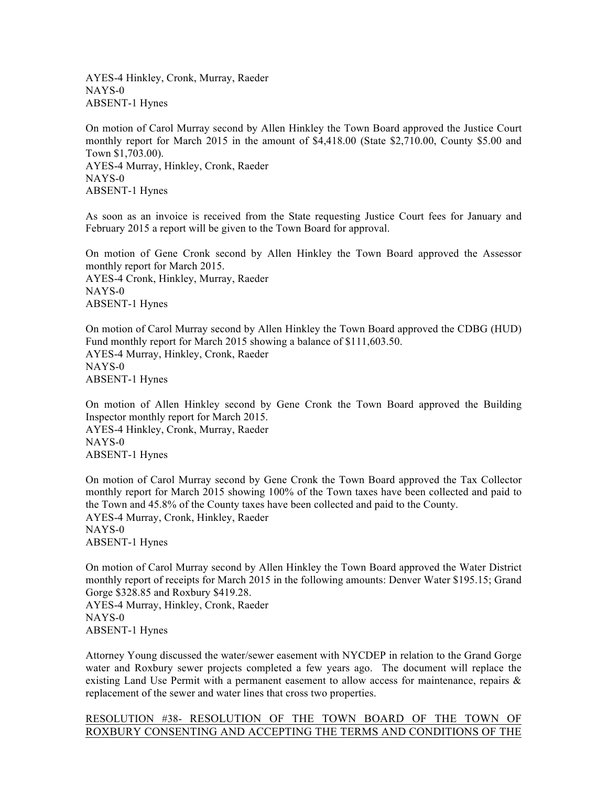AYES-4 Hinkley, Cronk, Murray, Raeder NAYS-0 ABSENT-1 Hynes

On motion of Carol Murray second by Allen Hinkley the Town Board approved the Justice Court monthly report for March 2015 in the amount of \$4,418.00 (State \$2,710.00, County \$5.00 and Town \$1,703.00). AYES-4 Murray, Hinkley, Cronk, Raeder NAYS-0 ABSENT-1 Hynes

As soon as an invoice is received from the State requesting Justice Court fees for January and February 2015 a report will be given to the Town Board for approval.

On motion of Gene Cronk second by Allen Hinkley the Town Board approved the Assessor monthly report for March 2015. AYES-4 Cronk, Hinkley, Murray, Raeder NAYS-0 ABSENT-1 Hynes

On motion of Carol Murray second by Allen Hinkley the Town Board approved the CDBG (HUD) Fund monthly report for March 2015 showing a balance of \$111,603.50. AYES-4 Murray, Hinkley, Cronk, Raeder NAYS-0 ABSENT-1 Hynes

On motion of Allen Hinkley second by Gene Cronk the Town Board approved the Building Inspector monthly report for March 2015. AYES-4 Hinkley, Cronk, Murray, Raeder NAYS-0 ABSENT-1 Hynes

On motion of Carol Murray second by Gene Cronk the Town Board approved the Tax Collector monthly report for March 2015 showing 100% of the Town taxes have been collected and paid to the Town and 45.8% of the County taxes have been collected and paid to the County. AYES-4 Murray, Cronk, Hinkley, Raeder NAYS-0 ABSENT-1 Hynes

On motion of Carol Murray second by Allen Hinkley the Town Board approved the Water District monthly report of receipts for March 2015 in the following amounts: Denver Water \$195.15; Grand Gorge \$328.85 and Roxbury \$419.28. AYES-4 Murray, Hinkley, Cronk, Raeder

NAYS-0 ABSENT-1 Hynes

Attorney Young discussed the water/sewer easement with NYCDEP in relation to the Grand Gorge water and Roxbury sewer projects completed a few years ago. The document will replace the existing Land Use Permit with a permanent easement to allow access for maintenance, repairs & replacement of the sewer and water lines that cross two properties.

## RESOLUTION #38- RESOLUTION OF THE TOWN BOARD OF THE TOWN OF ROXBURY CONSENTING AND ACCEPTING THE TERMS AND CONDITIONS OF THE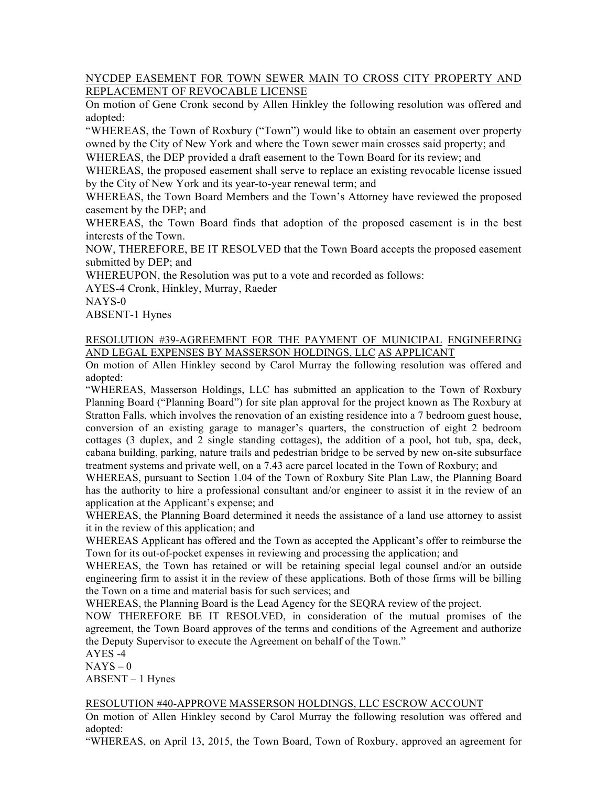# NYCDEP EASEMENT FOR TOWN SEWER MAIN TO CROSS CITY PROPERTY AND REPLACEMENT OF REVOCABLE LICENSE

On motion of Gene Cronk second by Allen Hinkley the following resolution was offered and adopted:

"WHEREAS, the Town of Roxbury ("Town") would like to obtain an easement over property owned by the City of New York and where the Town sewer main crosses said property; and

WHEREAS, the DEP provided a draft easement to the Town Board for its review; and

WHEREAS, the proposed easement shall serve to replace an existing revocable license issued by the City of New York and its year-to-year renewal term; and

WHEREAS, the Town Board Members and the Town's Attorney have reviewed the proposed easement by the DEP; and

WHEREAS, the Town Board finds that adoption of the proposed easement is in the best interests of the Town.

NOW, THEREFORE, BE IT RESOLVED that the Town Board accepts the proposed easement submitted by DEP; and

WHEREUPON, the Resolution was put to a vote and recorded as follows:

AYES-4 Cronk, Hinkley, Murray, Raeder

NAYS-0

ABSENT-1 Hynes

## RESOLUTION #39-AGREEMENT FOR THE PAYMENT OF MUNICIPAL ENGINEERING AND LEGAL EXPENSES BY MASSERSON HOLDINGS, LLC AS APPLICANT

On motion of Allen Hinkley second by Carol Murray the following resolution was offered and adopted:

"WHEREAS, Masserson Holdings, LLC has submitted an application to the Town of Roxbury Planning Board ("Planning Board") for site plan approval for the project known as The Roxbury at Stratton Falls, which involves the renovation of an existing residence into a 7 bedroom guest house, conversion of an existing garage to manager's quarters, the construction of eight 2 bedroom cottages (3 duplex, and 2 single standing cottages), the addition of a pool, hot tub, spa, deck, cabana building, parking, nature trails and pedestrian bridge to be served by new on-site subsurface treatment systems and private well, on a 7.43 acre parcel located in the Town of Roxbury; and

WHEREAS, pursuant to Section 1.04 of the Town of Roxbury Site Plan Law, the Planning Board has the authority to hire a professional consultant and/or engineer to assist it in the review of an application at the Applicant's expense; and

WHEREAS, the Planning Board determined it needs the assistance of a land use attorney to assist it in the review of this application; and

WHEREAS Applicant has offered and the Town as accepted the Applicant's offer to reimburse the Town for its out-of-pocket expenses in reviewing and processing the application; and

WHEREAS, the Town has retained or will be retaining special legal counsel and/or an outside engineering firm to assist it in the review of these applications. Both of those firms will be billing the Town on a time and material basis for such services; and

WHEREAS, the Planning Board is the Lead Agency for the SEQRA review of the project.

NOW THEREFORE BE IT RESOLVED, in consideration of the mutual promises of the agreement, the Town Board approves of the terms and conditions of the Agreement and authorize the Deputy Supervisor to execute the Agreement on behalf of the Town."

AYES -4

 $NAYS - 0$ 

ABSENT – 1 Hynes

## RESOLUTION #40-APPROVE MASSERSON HOLDINGS, LLC ESCROW ACCOUNT

On motion of Allen Hinkley second by Carol Murray the following resolution was offered and adopted:

"WHEREAS, on April 13, 2015, the Town Board, Town of Roxbury, approved an agreement for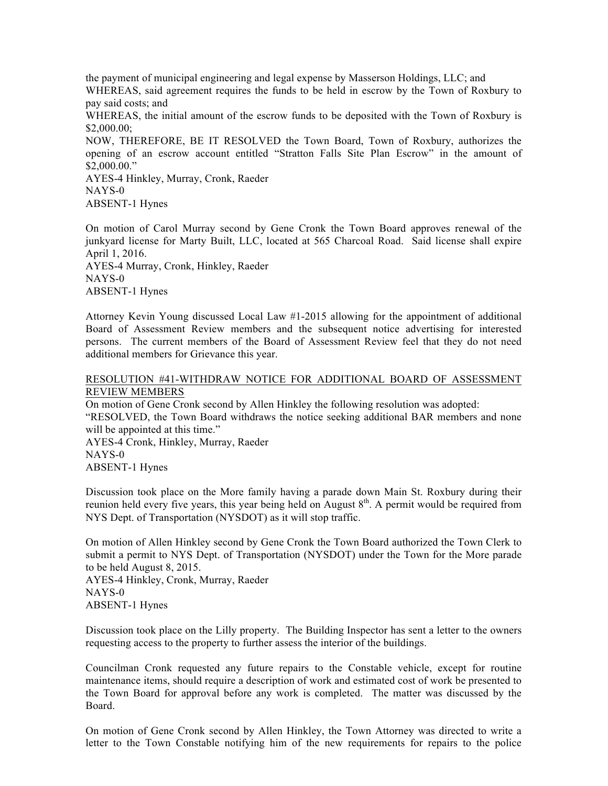the payment of municipal engineering and legal expense by Masserson Holdings, LLC; and

WHEREAS, said agreement requires the funds to be held in escrow by the Town of Roxbury to pay said costs; and

WHEREAS, the initial amount of the escrow funds to be deposited with the Town of Roxbury is \$2,000.00;

NOW, THEREFORE, BE IT RESOLVED the Town Board, Town of Roxbury, authorizes the opening of an escrow account entitled "Stratton Falls Site Plan Escrow" in the amount of \$2,000.00."

AYES-4 Hinkley, Murray, Cronk, Raeder NAYS-0 ABSENT-1 Hynes

On motion of Carol Murray second by Gene Cronk the Town Board approves renewal of the junkyard license for Marty Built, LLC, located at 565 Charcoal Road. Said license shall expire April 1, 2016. AYES-4 Murray, Cronk, Hinkley, Raeder NAYS-0

ABSENT-1 Hynes

Attorney Kevin Young discussed Local Law #1-2015 allowing for the appointment of additional Board of Assessment Review members and the subsequent notice advertising for interested persons. The current members of the Board of Assessment Review feel that they do not need additional members for Grievance this year.

# RESOLUTION #41-WITHDRAW NOTICE FOR ADDITIONAL BOARD OF ASSESSMENT REVIEW MEMBERS

On motion of Gene Cronk second by Allen Hinkley the following resolution was adopted: "RESOLVED, the Town Board withdraws the notice seeking additional BAR members and none will be appointed at this time." AYES-4 Cronk, Hinkley, Murray, Raeder

NAYS-0 ABSENT-1 Hynes

Discussion took place on the More family having a parade down Main St. Roxbury during their reunion held every five years, this year being held on August  $8<sup>th</sup>$ . A permit would be required from NYS Dept. of Transportation (NYSDOT) as it will stop traffic.

On motion of Allen Hinkley second by Gene Cronk the Town Board authorized the Town Clerk to submit a permit to NYS Dept. of Transportation (NYSDOT) under the Town for the More parade to be held August 8, 2015.

AYES-4 Hinkley, Cronk, Murray, Raeder NAYS-0 ABSENT-1 Hynes

Discussion took place on the Lilly property. The Building Inspector has sent a letter to the owners requesting access to the property to further assess the interior of the buildings.

Councilman Cronk requested any future repairs to the Constable vehicle, except for routine maintenance items, should require a description of work and estimated cost of work be presented to the Town Board for approval before any work is completed. The matter was discussed by the Board.

On motion of Gene Cronk second by Allen Hinkley, the Town Attorney was directed to write a letter to the Town Constable notifying him of the new requirements for repairs to the police